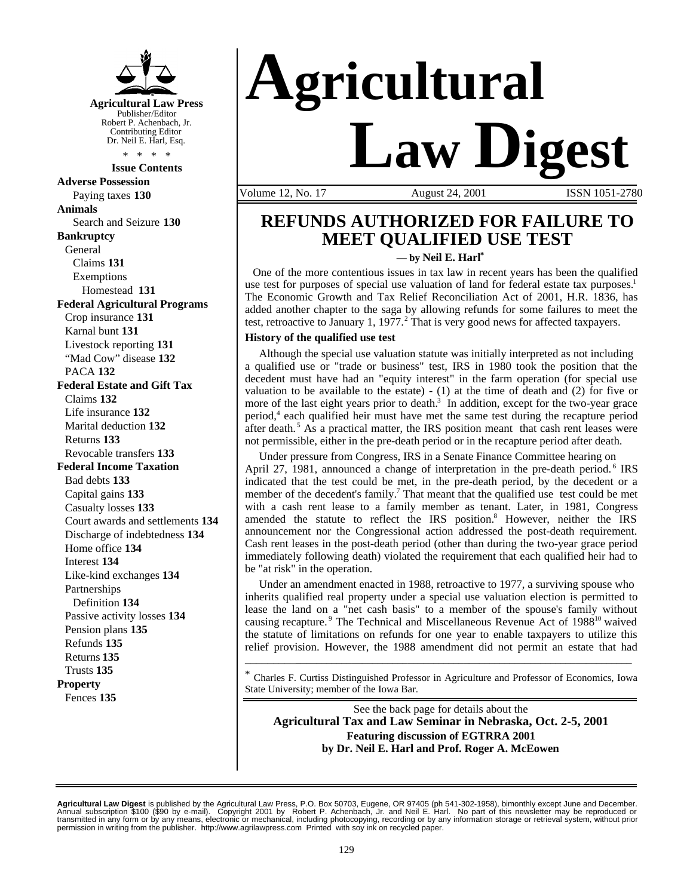

**Issue Contents**

**Adverse Possession** Paying taxes **130 Animals** Search and Seizure **130 Bankruptcy** General Claims **131** Exemptions Homestead **131 Federal Agricultural Programs** Crop insurance **131** Karnal bunt **131** Livestock reporting **131** "Mad Cow" disease **132** PACA **132 Federal Estate and Gift Tax** Claims **132** Life insurance **132** Marital deduction **132** Returns **133** Revocable transfers **133 Federal Income Taxation** Bad debts **133** Capital gains **133** Casualty losses **133** Court awards and settlements **134** Discharge of indebtedness **134** Home office **134** Interest **134** Like-kind exchanges **134** Partnerships Definition **134** Passive activity losses **134** Pension plans **135** Refunds **135** Returns **135** Trusts **135 Property** Fences **135**

# **Agricultural Law Digest**

Volume 12, No. 17 August 24, 2001 ISSN 1051-2780

### **REFUNDS AUTHORIZED FOR FAILURE TO MEET QUALIFIED USE TEST**

**— by Neil E. Harl\***

One of the more contentious issues in tax law in recent years has been the qualified use test for purposes of special use valuation of land for federal estate tax purposes.<sup>1</sup> The Economic Growth and Tax Relief Reconciliation Act of 2001, H.R. 1836, has added another chapter to the saga by allowing refunds for some failures to meet the test, retroactive to January 1, 1977.<sup>2</sup> That is very good news for affected taxpayers.

#### **History of the qualified use test**

 Although the special use valuation statute was initially interpreted as not including a qualified use or "trade or business" test, IRS in 1980 took the position that the decedent must have had an "equity interest" in the farm operation (for special use valuation to be available to the estate)  $- (1)$  at the time of death and (2) for five or more of the last eight years prior to death.<sup>3</sup> In addition, except for the two-year grace period,<sup>4</sup> each qualified heir must have met the same test during the recapture period after death.<sup>5</sup> As a practical matter, the IRS position meant that cash rent leases were not permissible, either in the pre-death period or in the recapture period after death.

 Under pressure from Congress, IRS in a Senate Finance Committee hearing on April 27, 1981, announced a change of interpretation in the pre-death period.<sup>6</sup> IRS indicated that the test could be met, in the pre-death period, by the decedent or a member of the decedent's family.<sup>7</sup> That meant that the qualified use test could be met with a cash rent lease to a family member as tenant. Later, in 1981, Congress amended the statute to reflect the IRS position.<sup>8</sup> However, neither the IRS announcement nor the Congressional action addressed the post-death requirement. Cash rent leases in the post-death period (other than during the two-year grace period immediately following death) violated the requirement that each qualified heir had to be "at risk" in the operation.

 Under an amendment enacted in 1988, retroactive to 1977, a surviving spouse who inherits qualified real property under a special use valuation election is permitted to lease the land on a "net cash basis" to a member of the spouse's family without causing recapture.<sup>9</sup> The Technical and Miscellaneous Revenue Act of 1988<sup>10</sup> waived the statute of limitations on refunds for one year to enable taxpayers to utilize this relief provision. However, the 1988 amendment did not permit an estate that had

\* Charles F. Curtiss Distinguished Professor in Agriculture and Professor of Economics, Iowa State University; member of the Iowa Bar.

\_\_\_\_\_\_\_\_\_\_\_\_\_\_\_\_\_\_\_\_\_\_\_\_\_\_\_\_\_\_\_\_\_\_\_\_\_\_\_\_\_\_\_\_\_\_\_\_\_\_\_\_\_\_\_\_\_\_\_\_\_\_\_\_\_\_\_\_\_\_\_\_\_\_\_

See the back page for details about the **Agricultural Tax and Law Seminar in Nebraska, Oct. 2-5, 2001 Featuring discussion of EGTRRA 2001 by Dr. Neil E. Harl and Prof. Roger A. McEowen**

**Agricultural Law Digest** is published by the Agricultural Law Press, P.O. Box 50703, Eugene, OR 97405 (ph 541-302-1958), bimonthly except June and December.<br>Annual subscription \$100 (\$90 by e-mail). Copyright 2001 by Ro permission in writing from the publisher. http://www.agrilawpress.com Printed with soy ink on recycled paper.